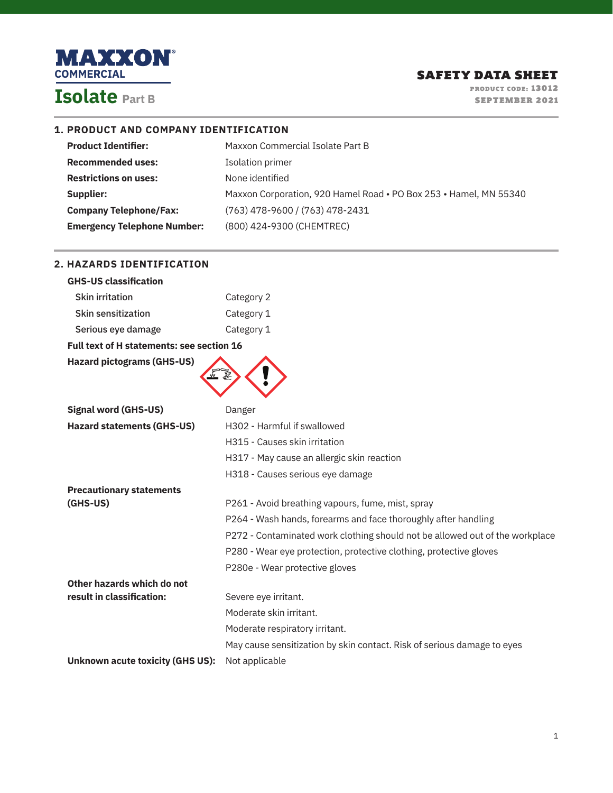

**2. HAZARDS IDENTIFICATION**

PRODUCT CODE: 13012 SEPTEMBER 2021

### **1. PRODUCT AND COMPANY IDENTIFICATION**

| Maxxon Commercial Isolate Part B                                  |
|-------------------------------------------------------------------|
| Isolation primer                                                  |
| None identified                                                   |
| Maxxon Corporation, 920 Hamel Road • PO Box 253 • Hamel, MN 55340 |
| (763) 478-9600 / (763) 478-2431                                   |
| (800) 424-9300 (CHEMTREC)                                         |
|                                                                   |

| <b>GHS-US classification</b>                     |                                                                              |
|--------------------------------------------------|------------------------------------------------------------------------------|
| <b>Skin irritation</b>                           | Category 2                                                                   |
| <b>Skin sensitization</b>                        | Category 1                                                                   |
| Serious eye damage                               | Category 1                                                                   |
| <b>Full text of H statements: see section 16</b> |                                                                              |
| <b>Hazard pictograms (GHS-US)</b>                |                                                                              |
|                                                  |                                                                              |
|                                                  |                                                                              |
| <b>Signal word (GHS-US)</b>                      | Danger                                                                       |
| <b>Hazard statements (GHS-US)</b>                | H302 - Harmful if swallowed                                                  |
|                                                  | H315 - Causes skin irritation                                                |
|                                                  | H317 - May cause an allergic skin reaction                                   |
|                                                  | H318 - Causes serious eye damage                                             |
| <b>Precautionary statements</b>                  |                                                                              |
| $(GHS-US)$                                       | P261 - Avoid breathing vapours, fume, mist, spray                            |
|                                                  | P264 - Wash hands, forearms and face thoroughly after handling               |
|                                                  | P272 - Contaminated work clothing should not be allowed out of the workplace |
|                                                  | P280 - Wear eye protection, protective clothing, protective gloves           |
|                                                  | P280e - Wear protective gloves                                               |
| Other hazards which do not                       |                                                                              |
| result in classification:                        | Severe eye irritant.                                                         |
|                                                  | Moderate skin irritant.                                                      |
|                                                  | Moderate respiratory irritant.                                               |
|                                                  | May cause sensitization by skin contact. Risk of serious damage to eyes      |
| <b>Unknown acute toxicity (GHS US):</b>          | Not applicable                                                               |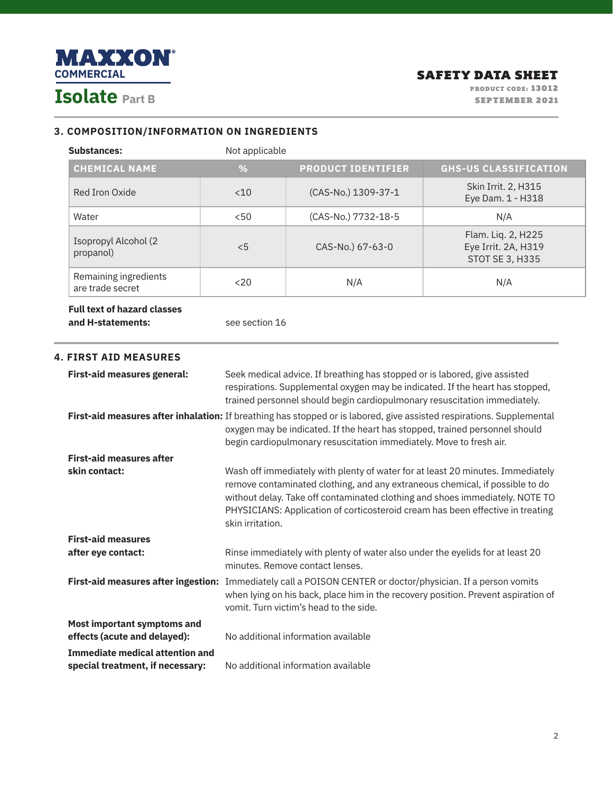

### **3. COMPOSITION/INFORMATION ON INGREDIENTS**

| <b>Substances:</b>                        | Not applicable |                           |                                                                     |
|-------------------------------------------|----------------|---------------------------|---------------------------------------------------------------------|
| <b>CHEMICAL NAME</b>                      | %              | <b>PRODUCT IDENTIFIER</b> | <b>GHS-US CLASSIFICATION</b>                                        |
| Red Iron Oxide                            | < 10           | (CAS-No.) 1309-37-1       | Skin Irrit. 2, H315<br>Eye Dam. 1 - H318                            |
| Water                                     | < 50           | (CAS-No.) 7732-18-5       | N/A                                                                 |
| Isopropyl Alcohol (2<br>propanol)         | $\leq 5$       | CAS-No.) 67-63-0          | Flam. Liq. 2, H225<br>Eye Irrit. 2A, H319<br><b>STOT SE 3, H335</b> |
| Remaining ingredients<br>are trade secret | $20$           | N/A                       | N/A                                                                 |

## **Full text of hazard classes and H-statements:** See section 16

### **4. FIRST AID MEASURES**

| <b>First-aid measures general:</b>                                         | Seek medical advice. If breathing has stopped or is labored, give assisted<br>respirations. Supplemental oxygen may be indicated. If the heart has stopped,<br>trained personnel should begin cardiopulmonary resuscitation immediately.                                                                                                             |
|----------------------------------------------------------------------------|------------------------------------------------------------------------------------------------------------------------------------------------------------------------------------------------------------------------------------------------------------------------------------------------------------------------------------------------------|
|                                                                            | First-aid measures after inhalation: If breathing has stopped or is labored, give assisted respirations. Supplemental<br>oxygen may be indicated. If the heart has stopped, trained personnel should<br>begin cardiopulmonary resuscitation immediately. Move to fresh air.                                                                          |
| <b>First-aid measures after</b>                                            |                                                                                                                                                                                                                                                                                                                                                      |
| skin contact:                                                              | Wash off immediately with plenty of water for at least 20 minutes. Immediately<br>remove contaminated clothing, and any extraneous chemical, if possible to do<br>without delay. Take off contaminated clothing and shoes immediately. NOTE TO<br>PHYSICIANS: Application of corticosteroid cream has been effective in treating<br>skin irritation. |
| <b>First-aid measures</b>                                                  |                                                                                                                                                                                                                                                                                                                                                      |
| after eye contact:                                                         | Rinse immediately with plenty of water also under the eyelids for at least 20<br>minutes. Remove contact lenses.                                                                                                                                                                                                                                     |
|                                                                            | First-aid measures after ingestion: Immediately call a POISON CENTER or doctor/physician. If a person vomits<br>when lying on his back, place him in the recovery position. Prevent aspiration of<br>vomit. Turn victim's head to the side.                                                                                                          |
| Most important symptoms and<br>effects (acute and delayed):                | No additional information available                                                                                                                                                                                                                                                                                                                  |
| <b>Immediate medical attention and</b><br>special treatment, if necessary: | No additional information available                                                                                                                                                                                                                                                                                                                  |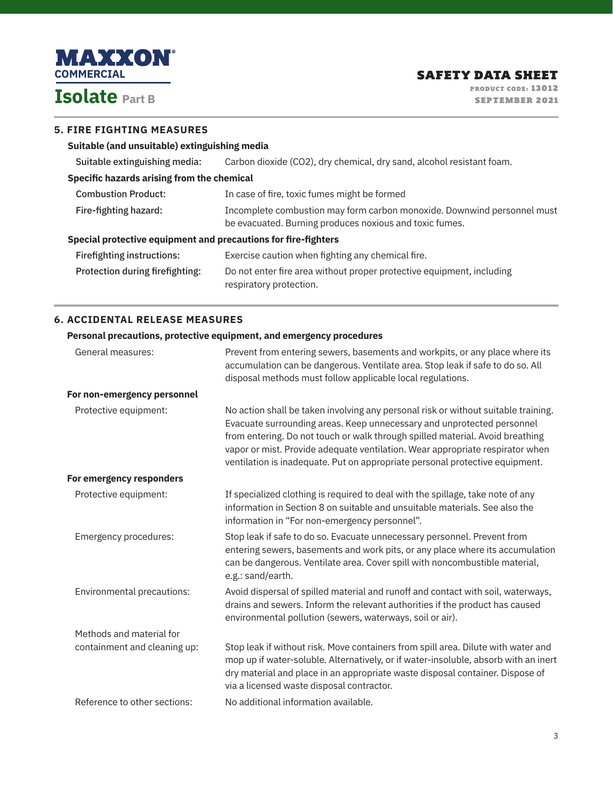

# **5. FIRE FIGHTING MEASURES**

### **Suitable (and unsuitable) extinguishing media**

Suitable extinguishing media: Carbon dioxide (CO2), dry chemical, dry sand, alcohol resistant foam.

### **Specific hazards arising from the chemical**

| Special protective equipment and precautions for fire-fighters |                                                                         |
|----------------------------------------------------------------|-------------------------------------------------------------------------|
|                                                                | be evacuated. Burning produces noxious and toxic fumes.                 |
| Fire-fighting hazard:                                          | Incomplete combustion may form carbon monoxide. Downwind personnel must |
| <b>Combustion Product:</b>                                     | In case of fire, toxic fumes might be formed                            |

| <b>Firefighting instructions:</b> | Exercise caution when fighting any chemical fire.                     |
|-----------------------------------|-----------------------------------------------------------------------|
| Protection during fire fighting:  | Do not enter fire area without proper protective equipment, including |
|                                   | respiratory protection.                                               |

## **6. ACCIDENTAL RELEASE MEASURES**

## **Personal precautions, protective equipment, and emergency procedures**

| General measures:            | Prevent from entering sewers, basements and workpits, or any place where its<br>accumulation can be dangerous. Ventilate area. Stop leak if safe to do so. All<br>disposal methods must follow applicable local regulations.                                                                                                                                                                                   |
|------------------------------|----------------------------------------------------------------------------------------------------------------------------------------------------------------------------------------------------------------------------------------------------------------------------------------------------------------------------------------------------------------------------------------------------------------|
| For non-emergency personnel  |                                                                                                                                                                                                                                                                                                                                                                                                                |
| Protective equipment:        | No action shall be taken involving any personal risk or without suitable training.<br>Evacuate surrounding areas. Keep unnecessary and unprotected personnel<br>from entering. Do not touch or walk through spilled material. Avoid breathing<br>vapor or mist. Provide adequate ventilation. Wear appropriate respirator when<br>ventilation is inadequate. Put on appropriate personal protective equipment. |
| For emergency responders     |                                                                                                                                                                                                                                                                                                                                                                                                                |
| Protective equipment:        | If specialized clothing is required to deal with the spillage, take note of any<br>information in Section 8 on suitable and unsuitable materials. See also the<br>information in "For non-emergency personnel".                                                                                                                                                                                                |
| Emergency procedures:        | Stop leak if safe to do so. Evacuate unnecessary personnel. Prevent from<br>entering sewers, basements and work pits, or any place where its accumulation<br>can be dangerous. Ventilate area. Cover spill with noncombustible material,<br>e.g.: sand/earth.                                                                                                                                                  |
| Environmental precautions:   | Avoid dispersal of spilled material and runoff and contact with soil, waterways,<br>drains and sewers. Inform the relevant authorities if the product has caused<br>environmental pollution (sewers, waterways, soil or air).                                                                                                                                                                                  |
| Methods and material for     |                                                                                                                                                                                                                                                                                                                                                                                                                |
| containment and cleaning up: | Stop leak if without risk. Move containers from spill area. Dilute with water and<br>mop up if water-soluble. Alternatively, or if water-insoluble, absorb with an inert<br>dry material and place in an appropriate waste disposal container. Dispose of<br>via a licensed waste disposal contractor.                                                                                                         |
| Reference to other sections: | No additional information available.                                                                                                                                                                                                                                                                                                                                                                           |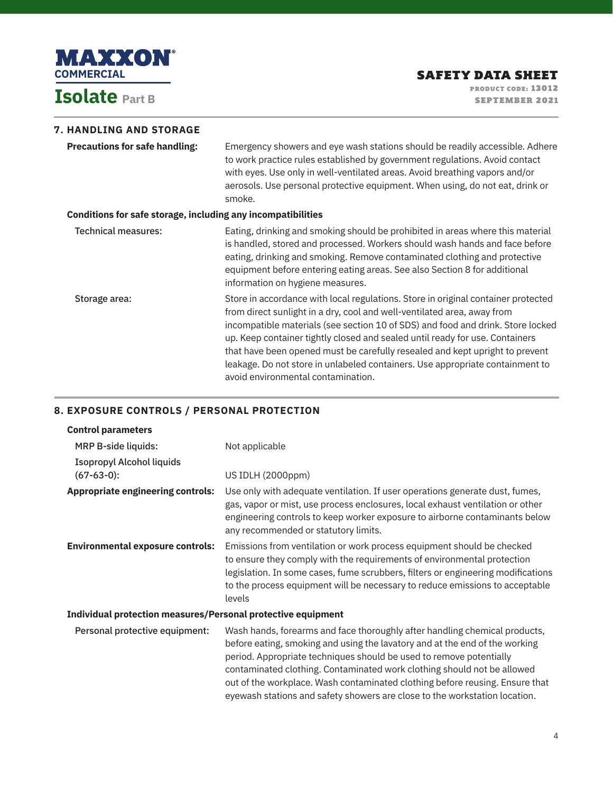

# **7. HANDLING AND STORAGE**

| <b>Precautions for safe handling:</b>                        | Emergency showers and eye wash stations should be readily accessible. Adhere<br>to work practice rules established by government regulations. Avoid contact<br>with eyes. Use only in well-ventilated areas. Avoid breathing vapors and/or<br>aerosols. Use personal protective equipment. When using, do not eat, drink or<br>smoke.                                                                                                                                                                                                  |
|--------------------------------------------------------------|----------------------------------------------------------------------------------------------------------------------------------------------------------------------------------------------------------------------------------------------------------------------------------------------------------------------------------------------------------------------------------------------------------------------------------------------------------------------------------------------------------------------------------------|
| Conditions for safe storage, including any incompatibilities |                                                                                                                                                                                                                                                                                                                                                                                                                                                                                                                                        |
| <b>Technical measures:</b>                                   | Eating, drinking and smoking should be prohibited in areas where this material<br>is handled, stored and processed. Workers should wash hands and face before<br>eating, drinking and smoking. Remove contaminated clothing and protective<br>equipment before entering eating areas. See also Section 8 for additional<br>information on hygiene measures.                                                                                                                                                                            |
| Storage area:                                                | Store in accordance with local regulations. Store in original container protected<br>from direct sunlight in a dry, cool and well-ventilated area, away from<br>incompatible materials (see section 10 of SDS) and food and drink. Store locked<br>up. Keep container tightly closed and sealed until ready for use. Containers<br>that have been opened must be carefully resealed and kept upright to prevent<br>leakage. Do not store in unlabeled containers. Use appropriate containment to<br>avoid environmental contamination. |

### **8. EXPOSURE CONTROLS / PERSONAL PROTECTION**

| Not applicable                                                                                                                                                                                                                                                                                                                                                                                                                                                            |  |  |
|---------------------------------------------------------------------------------------------------------------------------------------------------------------------------------------------------------------------------------------------------------------------------------------------------------------------------------------------------------------------------------------------------------------------------------------------------------------------------|--|--|
| US IDLH (2000ppm)                                                                                                                                                                                                                                                                                                                                                                                                                                                         |  |  |
| Use only with adequate ventilation. If user operations generate dust, fumes,<br>gas, vapor or mist, use process enclosures, local exhaust ventilation or other<br>engineering controls to keep worker exposure to airborne contaminants below<br>any recommended or statutory limits.                                                                                                                                                                                     |  |  |
| Emissions from ventilation or work process equipment should be checked<br>to ensure they comply with the requirements of environmental protection<br>legislation. In some cases, fume scrubbers, filters or engineering modifications<br>to the process equipment will be necessary to reduce emissions to acceptable<br>levels                                                                                                                                           |  |  |
| Individual protection measures/Personal protective equipment                                                                                                                                                                                                                                                                                                                                                                                                              |  |  |
| Wash hands, forearms and face thoroughly after handling chemical products,<br>before eating, smoking and using the lavatory and at the end of the working<br>period. Appropriate techniques should be used to remove potentially<br>contaminated clothing. Contaminated work clothing should not be allowed<br>out of the workplace. Wash contaminated clothing before reusing. Ensure that<br>eyewash stations and safety showers are close to the workstation location. |  |  |
|                                                                                                                                                                                                                                                                                                                                                                                                                                                                           |  |  |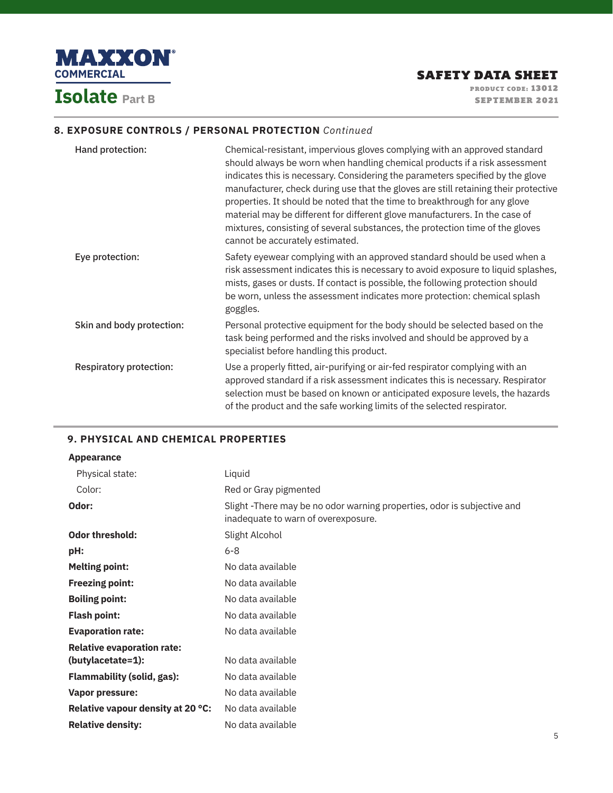

### **8. EXPOSURE CONTROLS / PERSONAL PROTECTION** *Continued*

| Hand protection:               | Chemical-resistant, impervious gloves complying with an approved standard<br>should always be worn when handling chemical products if a risk assessment<br>indicates this is necessary. Considering the parameters specified by the glove<br>manufacturer, check during use that the gloves are still retaining their protective<br>properties. It should be noted that the time to breakthrough for any glove<br>material may be different for different glove manufacturers. In the case of<br>mixtures, consisting of several substances, the protection time of the gloves<br>cannot be accurately estimated. |
|--------------------------------|-------------------------------------------------------------------------------------------------------------------------------------------------------------------------------------------------------------------------------------------------------------------------------------------------------------------------------------------------------------------------------------------------------------------------------------------------------------------------------------------------------------------------------------------------------------------------------------------------------------------|
| Eye protection:                | Safety eyewear complying with an approved standard should be used when a<br>risk assessment indicates this is necessary to avoid exposure to liquid splashes,<br>mists, gases or dusts. If contact is possible, the following protection should<br>be worn, unless the assessment indicates more protection: chemical splash<br>goggles.                                                                                                                                                                                                                                                                          |
| Skin and body protection:      | Personal protective equipment for the body should be selected based on the<br>task being performed and the risks involved and should be approved by a<br>specialist before handling this product.                                                                                                                                                                                                                                                                                                                                                                                                                 |
| <b>Respiratory protection:</b> | Use a properly fitted, air-purifying or air-fed respirator complying with an<br>approved standard if a risk assessment indicates this is necessary. Respirator<br>selection must be based on known or anticipated exposure levels, the hazards<br>of the product and the safe working limits of the selected respirator.                                                                                                                                                                                                                                                                                          |

### **9. PHYSICAL AND CHEMICAL PROPERTIES**

### **Appearance**

| Physical state:                   | Liquid                                                                                                         |
|-----------------------------------|----------------------------------------------------------------------------------------------------------------|
| Color:                            | Red or Gray pigmented                                                                                          |
| Odor:                             | Slight -There may be no odor warning properties, odor is subjective and<br>inadequate to warn of overexposure. |
| <b>Odor threshold:</b>            | Slight Alcohol                                                                                                 |
| pH:                               | 6-8                                                                                                            |
| <b>Melting point:</b>             | No data available                                                                                              |
| <b>Freezing point:</b>            | No data available                                                                                              |
| <b>Boiling point:</b>             | No data available                                                                                              |
| <b>Flash point:</b>               | No data available                                                                                              |
| <b>Evaporation rate:</b>          | No data available                                                                                              |
| <b>Relative evaporation rate:</b> |                                                                                                                |
| (butylacetate=1):                 | No data available                                                                                              |
| <b>Flammability (solid, gas):</b> | No data available                                                                                              |
| Vapor pressure:                   | No data available                                                                                              |
| Relative vapour density at 20 °C: | No data available                                                                                              |
| <b>Relative density:</b>          | No data available                                                                                              |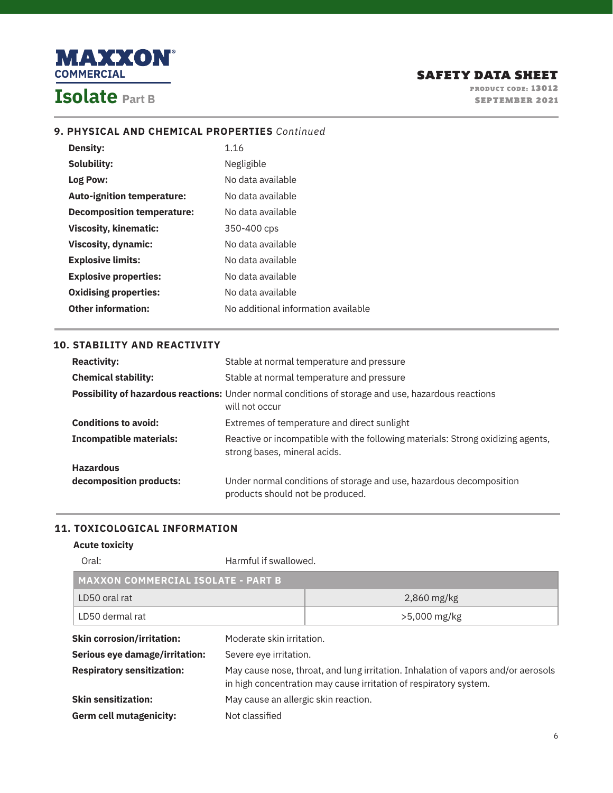

## **9. PHYSICAL AND CHEMICAL PROPERTIES** *Continued*

| <b>Density:</b>                   | 1.16                                |
|-----------------------------------|-------------------------------------|
| Solubility:                       | Negligible                          |
| Log Pow:                          | No data available                   |
| <b>Auto-ignition temperature:</b> | No data available                   |
| <b>Decomposition temperature:</b> | No data available                   |
| <b>Viscosity, kinematic:</b>      | 350-400 cps                         |
| <b>Viscosity, dynamic:</b>        | No data available                   |
| <b>Explosive limits:</b>          | No data available                   |
| <b>Explosive properties:</b>      | No data available                   |
| <b>Oxidising properties:</b>      | No data available                   |
| <b>Other information:</b>         | No additional information available |

## **10. STABILITY AND REACTIVITY**

| <b>Reactivity:</b>             | Stable at normal temperature and pressure                                                                                    |
|--------------------------------|------------------------------------------------------------------------------------------------------------------------------|
| <b>Chemical stability:</b>     | Stable at normal temperature and pressure                                                                                    |
|                                | <b>Possibility of hazardous reactions:</b> Under normal conditions of storage and use, hazardous reactions<br>will not occur |
| <b>Conditions to avoid:</b>    | Extremes of temperature and direct sunlight                                                                                  |
| <b>Incompatible materials:</b> | Reactive or incompatible with the following materials: Strong oxidizing agents,<br>strong bases, mineral acids.              |
| <b>Hazardous</b>               |                                                                                                                              |
| decomposition products:        | Under normal conditions of storage and use, hazardous decomposition<br>products should not be produced.                      |

# **11. TOXICOLOGICAL INFORMATION**

### **Acute toxicity**

| Oral:                                     | Harmful if swallowed.                                                                                                                                  |                |
|-------------------------------------------|--------------------------------------------------------------------------------------------------------------------------------------------------------|----------------|
| <b>MAXXON COMMERCIAL ISOLATE - PART B</b> |                                                                                                                                                        |                |
| LD50 oral rat                             |                                                                                                                                                        | $2,860$ mg/kg  |
| LD50 dermal rat                           |                                                                                                                                                        | $>5,000$ mg/kg |
| <b>Skin corrosion/irritation:</b>         | Moderate skin irritation.                                                                                                                              |                |
| Serious eye damage/irritation:            | Severe eye irritation.                                                                                                                                 |                |
| <b>Respiratory sensitization:</b>         | May cause nose, throat, and lung irritation. Inhalation of vapors and/or aerosols<br>in high concentration may cause irritation of respiratory system. |                |
| <b>Skin sensitization:</b>                | May cause an allergic skin reaction.                                                                                                                   |                |
| Germ cell mutagenicity:                   | Not classified                                                                                                                                         |                |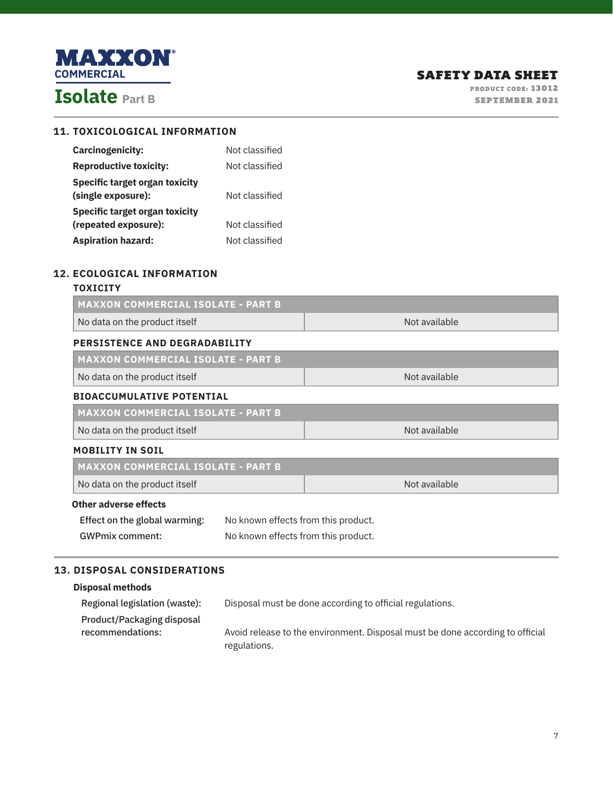

# **11. TOXICOLOGICAL INFORMATION**

| <b>Carcinogenicity:</b>                              | Not classified |
|------------------------------------------------------|----------------|
| <b>Reproductive toxicity:</b>                        | Not classified |
| Specific target organ toxicity<br>(single exposure): | Not classified |
| Specific target organ toxicity                       |                |
| (repeated exposure):                                 | Not classified |
| <b>Aspiration hazard:</b>                            | Not classified |

### **12. ECOLOGICAL INFORMATION**

### **TOXICITY**

п

| <b>MAXXON COMMERCIAL ISOLATE - PART B</b> |                                     |               |
|-------------------------------------------|-------------------------------------|---------------|
| No data on the product itself             |                                     | Not available |
| PERSISTENCE AND DEGRADABILITY             |                                     |               |
| <b>MAXXON COMMERCIAL ISOLATE - PART B</b> |                                     |               |
| No data on the product itself             |                                     | Not available |
| <b>BIOACCUMULATIVE POTENTIAL</b>          |                                     |               |
| <b>MAXXON COMMERCIAL ISOLATE - PART B</b> |                                     |               |
| No data on the product itself             |                                     | Not available |
| <b>MOBILITY IN SOIL</b>                   |                                     |               |
| <b>MAXXON COMMERCIAL ISOLATE - PART B</b> |                                     |               |
| No data on the product itself             |                                     | Not available |
| Other adverse effects                     |                                     |               |
| Effect on the global warming:             | No known effects from this product. |               |
| <b>GWPmix comment:</b>                    | No known effects from this product. |               |

# **13. DISPOSAL CONSIDERATIONS**

### **Disposal methods**

| Regional legislation (waste): | Disposal must be done according to official regulations.                      |
|-------------------------------|-------------------------------------------------------------------------------|
| Product/Packaging disposal    |                                                                               |
| recommendations:              | Avoid release to the environment. Disposal must be done according to official |
|                               | regulations.                                                                  |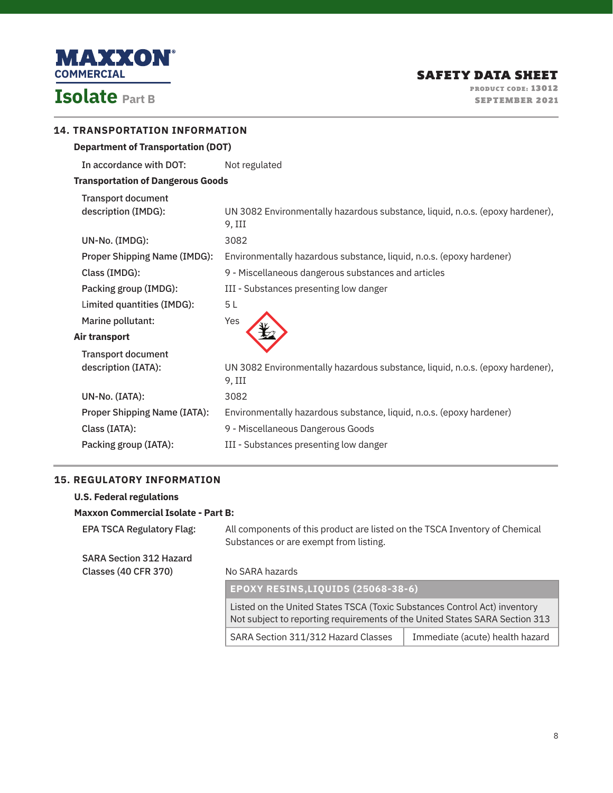

| <b>14. TRANSPORTATION INFORMATION</b>            |                                                                                         |
|--------------------------------------------------|-----------------------------------------------------------------------------------------|
| <b>Department of Transportation (DOT)</b>        |                                                                                         |
| In accordance with DOT:                          | Not regulated                                                                           |
| <b>Transportation of Dangerous Goods</b>         |                                                                                         |
| <b>Transport document</b><br>description (IMDG): | UN 3082 Environmentally hazardous substance, liquid, n.o.s. (epoxy hardener),<br>9, III |
| UN-No. (IMDG):                                   | 3082                                                                                    |
| <b>Proper Shipping Name (IMDG):</b>              | Environmentally hazardous substance, liquid, n.o.s. (epoxy hardener)                    |
| Class (IMDG):                                    | 9 - Miscellaneous dangerous substances and articles                                     |
| Packing group (IMDG):                            | III - Substances presenting low danger                                                  |
| Limited quantities (IMDG):                       | 5L                                                                                      |
| Marine pollutant:                                | Yes                                                                                     |
| Air transport                                    |                                                                                         |
| <b>Transport document</b>                        |                                                                                         |
| description (IATA):                              | UN 3082 Environmentally hazardous substance, liquid, n.o.s. (epoxy hardener),<br>9. III |
| UN-No. (IATA):                                   | 3082                                                                                    |
| <b>Proper Shipping Name (IATA):</b>              | Environmentally hazardous substance, liquid, n.o.s. (epoxy hardener)                    |
| Class (IATA):                                    | 9 - Miscellaneous Dangerous Goods                                                       |
| Packing group (IATA):                            | III - Substances presenting low danger                                                  |
|                                                  |                                                                                         |

## **15. REGULATORY INFORMATION**

| <b>U.S. Federal regulations</b>            |                                                                                                                                                          |                                 |
|--------------------------------------------|----------------------------------------------------------------------------------------------------------------------------------------------------------|---------------------------------|
| <b>Maxxon Commercial Isolate - Part B:</b> |                                                                                                                                                          |                                 |
| <b>EPA TSCA Regulatory Flag:</b>           | All components of this product are listed on the TSCA Inventory of Chemical<br>Substances or are exempt from listing.                                    |                                 |
| <b>SARA Section 312 Hazard</b>             |                                                                                                                                                          |                                 |
| Classes (40 CFR 370)                       | No SARA hazards                                                                                                                                          |                                 |
|                                            | EPOXY RESINS, LIQUIDS (25068-38-6)                                                                                                                       |                                 |
|                                            | Listed on the United States TSCA (Toxic Substances Control Act) inventory<br>Not subject to reporting requirements of the United States SARA Section 313 |                                 |
|                                            | SARA Section 311/312 Hazard Classes                                                                                                                      | Immediate (acute) health hazard |